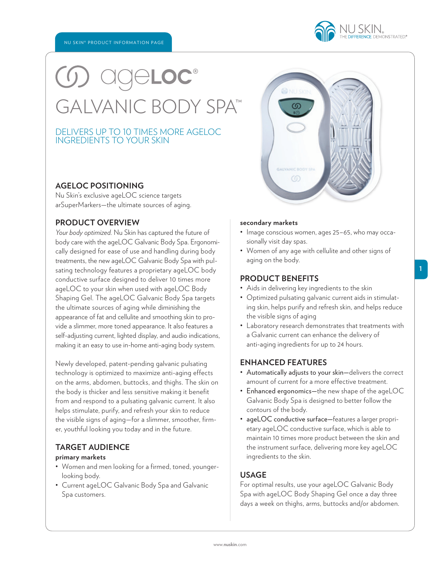## ® GALVANIC BODY SPA™

### DELIVERS UP TO 10 TIMES MORE AGELOC INGREDIENTS TO YOUR SKIN

### **AGELOC POSITIONING**

Nu Skin's exclusive ageLOC science targets arSuperMarkers—the ultimate sources of aging.

### **PRODUCT OVERVIEW**

*Your body optimized.* Nu Skin has captured the future of body care with the ageLOC Galvanic Body Spa. Ergonomically designed for ease of use and handling during body treatments, the new ageLOC Galvanic Body Spa with pulsating technology features a proprietary ageLOC body conductive surface designed to deliver 10 times more ageLOC to your skin when used with ageLOC Body Shaping Gel. The ageLOC Galvanic Body Spa targets the ultimate sources of aging while diminishing the appearance of fat and cellulite and smoothing skin to provide a slimmer, more toned appearance. It also features a self-adjusting current, lighted display, and audio indications, making it an easy to use in-home anti-aging body system.

Newly developed, patent-pending galvanic pulsating technology is optimized to maximize anti-aging effects on the arms, abdomen, buttocks, and thighs. The skin on the body is thicker and less sensitive making it benefit from and respond to a pulsating galvanic current. It also helps stimulate, purify, and refresh your skin to reduce the visible signs of aging—for a slimmer, smoother, firmer, youthful looking you today and in the future.

### **TARGET AUDIENCE**

### **primary markets**

- Women and men looking for a firmed, toned, youngerlooking body.
- Current ageLOC Galvanic Body Spa and Galvanic Spa customers.

### **secondary markets**

- Image conscious women, ages 25–65, who may occasionally visit day spas.
- Women of any age with cellulite and other signs of aging on the body.

### **PRODUCT BENEFITS**

- Aids in delivering key ingredients to the skin
- Optimized pulsating galvanic current aids in stimulating skin, helps purify and refresh skin, and helps reduce the visible signs of aging
- Laboratory research demonstrates that treatments with a Galvanic current can enhance the delivery of anti-aging ingredients for up to 24 hours.

### **ENHANCED FEATURES**

- Automatically adjusts to your skin—delivers the correct amount of current for a more effective treatment.
- Enhanced ergonomics—the new shape of the ageLOC Galvanic Body Spa is designed to better follow the contours of the body.
- ageLOC conductive surface—features a larger proprietary ageLOC conductive surface, which is able to maintain 10 times more product between the skin and the instrument surface, delivering more key ageLOC ingredients to the skin.

### **USAGE**

For optimal results, use your ageLOC Galvanic Body Spa with ageLOC Body Shaping Gel once a day three days a week on thighs, arms, buttocks and/or abdomen.

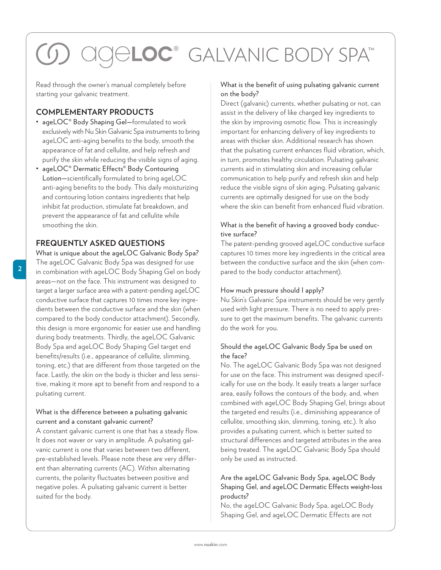# ® GALVANIC BODY SPA™

Read through the owner's manual completely before starting your galvanic treatment.

### **COMPLEMENTARY PRODUCTS**

- ageLOC® Body Shaping Gel—formulated to work exclusively with Nu Skin Galvanic Spa instruments to bring ageLOC anti-aging benefits to the body, smooth the appearance of fat and cellulite, and help refresh and purify the skin while reducing the visible signs of aging.
- ageLOC® Dermatic Effects® Body Contouring Lotion—scientifically formulated to bring ageLOC anti-aging benefits to the body. This daily moisturizing and contouring lotion contains ingredients that help inhibit fat production, stimulate fat breakdown, and prevent the appearance of fat and cellulite while smoothing the skin.

### **FREQUENTLY ASKED QUESTIONS**

What is unique about the ageLOC Galvanic Body Spa? The ageLOC Galvanic Body Spa was designed for use in combination with ageLOC Body Shaping Gel on body areas—not on the face. This instrument was designed to target a larger surface area with a patent-pending ageLOC conductive surface that captures 10 times more key ingredients between the conductive surface and the skin (when compared to the body conductor attachment). Secondly, this design is more ergonomic for easier use and handling during body treatments. Thirdly, the ageLOC Galvanic Body Spa and ageLOC Body Shaping Gel target end benefits/results (i.e., appearance of cellulite, slimming, toning, etc.) that are different from those targeted on the face. Lastly, the skin on the body is thicker and less sensitive, making it more apt to benefit from and respond to a pulsating current.

### What is the difference between a pulsating galvanic current and a constant galvanic current?

A constant galvanic current is one that has a steady flow. It does not waver or vary in amplitude. A pulsating galvanic current is one that varies between two different, pre-established levels. Please note these are very different than alternating currents (AC). Within alternating currents, the polarity fluctuates between positive and negative poles. A pulsating galvanic current is better suited for the body.

### What is the benefit of using pulsating galvanic current on the body?

Direct (galvanic) currents, whether pulsating or not, can assist in the delivery of like charged key ingredients to the skin by improving osmotic flow. This is increasingly important for enhancing delivery of key ingredients to areas with thicker skin. Additional research has shown that the pulsating current enhances fluid vibration, which, in turn, promotes healthy circulation. Pulsating galvanic currents aid in stimulating skin and increasing cellular communication to help purify and refresh skin and help reduce the visible signs of skin aging. Pulsating galvanic currents are optimally designed for use on the body where the skin can benefit from enhanced fluid vibration.

### What is the benefit of having a grooved body conductive surface?

The patent-pending grooved ageLOC conductive surface captures 10 times more key ingredients in the critical area between the conductive surface and the skin (when compared to the body conductor attachment).

### How much pressure should I apply?

Nu Skin's Galvanic Spa instruments should be very gently used with light pressure. There is no need to apply pressure to get the maximum benefits. The galvanic currents do the work for you.

### Should the ageLOC Galvanic Body Spa be used on the face?

No. The ageLOC Galvanic Body Spa was not designed for use on the face. This instrument was designed specifically for use on the body. It easily treats a larger surface area, easily follows the contours of the body, and, when combined with ageLOC Body Shaping Gel, brings about the targeted end results (i.e., diminishing appearance of cellulite, smoothing skin, slimming, toning, etc.). It also provides a pulsating current, which is better suited to structural differences and targeted attributes in the area being treated. The ageLOC Galvanic Body Spa should only be used as instructed.

### Are the ageLOC Galvanic Body Spa, ageLOC Body Shaping Gel, and ageLOC Dermatic Effects weight-loss products?

No, the ageLOC Galvanic Body Spa, ageLOC Body Shaping Gel, and ageLOC Dermatic Effects are not